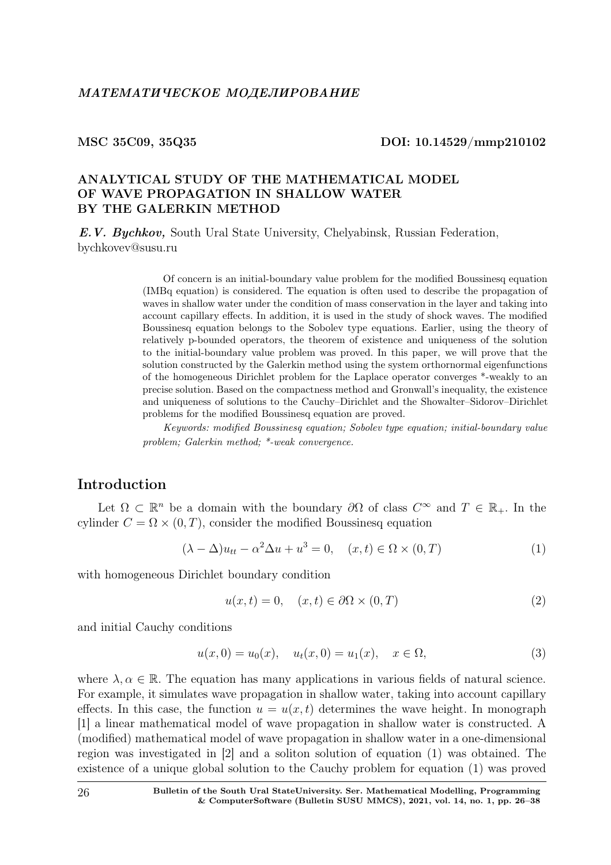#### MSC 35C09, 35Q35 DOI: 10.14529/mmp210102

## ANALYTICAL STUDY OF THE MATHEMATICAL MODEL OF WAVE PROPAGATION IN SHALLOW WATER BY THE GALERKIN METHOD

E.V. Bychkov, South Ural State University, Chelyabinsk, Russian Federation, bychkovev@susu.ru

> Of concern is an initial-boundary value problem for the modified Boussinesq equation (IMBq equation) is considered. The equation is often used to describe the propagation of waves in shallow water under the condition of mass conservation in the layer and taking into account capillary effects. In addition, it is used in the study of shock waves. The modified Boussinesq equation belongs to the Sobolev type equations. Earlier, using the theory of relatively p-bounded operators, the theorem of existence and uniqueness of the solution to the initial-boundary value problem was proved. In this paper, we will prove that the solution constructed by the Galerkin method using the system orthornormal eigenfunctions of the homogeneous Dirichlet problem for the Laplace operator converges \*-weakly to an precise solution. Based on the compactness method and Gronwall's inequality, the existence and uniqueness of solutions to the Cauchy–Dirichlet and the Showalter–Sidorov–Dirichlet problems for the modified Boussinesq equation are proved.

> Keywords: modified Boussinesq equation; Sobolev type equation; initial-boundary value problem; Galerkin method; \*-weak convergence.

## Introduction

Let  $\Omega \subset \mathbb{R}^n$  be a domain with the boundary  $\partial\Omega$  of class  $C^{\infty}$  and  $T \in \mathbb{R}_+$ . In the cylinder  $C = \Omega \times (0, T)$ , consider the modified Boussinesq equation

$$
(\lambda - \Delta)u_{tt} - \alpha^2 \Delta u + u^3 = 0, \quad (x, t) \in \Omega \times (0, T)
$$
 (1)

with homogeneous Dirichlet boundary condition

$$
u(x,t) = 0, \quad (x,t) \in \partial\Omega \times (0,T) \tag{2}
$$

and initial Cauchy conditions

$$
u(x,0) = u_0(x), \quad u_t(x,0) = u_1(x), \quad x \in \Omega,
$$
\n(3)

where  $\lambda, \alpha \in \mathbb{R}$ . The equation has many applications in various fields of natural science. For example, it simulates wave propagation in shallow water, taking into account capillary effects. In this case, the function  $u = u(x, t)$  determines the wave height. In monograph [1] a linear mathematical model of wave propagation in shallow water is constructed. A (modified) mathematical model of wave propagation in shallow water in a one-dimensional region was investigated in [2] and a soliton solution of equation (1) was obtained. The existence of a unique global solution to the Cauchy problem for equation (1) was proved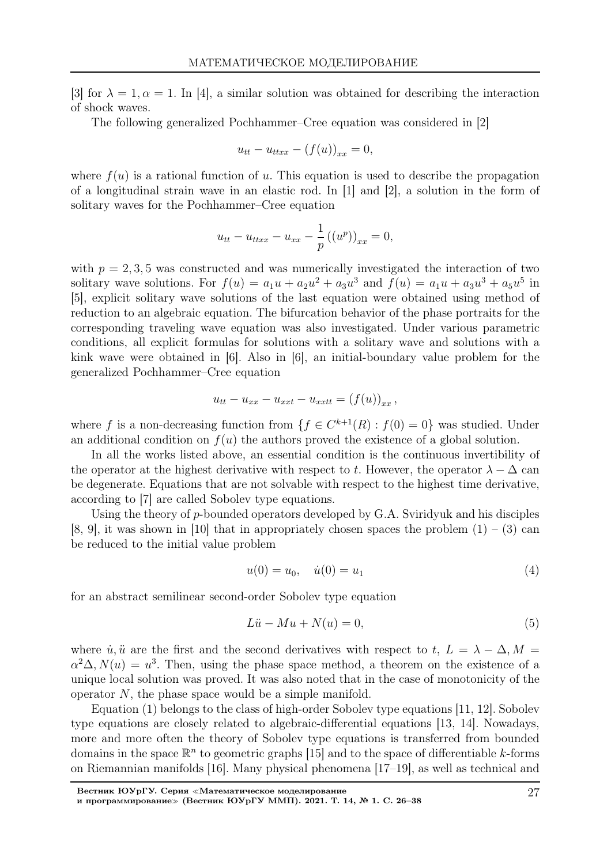[3] for  $\lambda = 1, \alpha = 1$ . In [4], a similar solution was obtained for describing the interaction of shock waves.

The following generalized Pochhammer–Cree equation was considered in [2]

$$
u_{tt} - u_{ttxx} - (f(u))_{xx} = 0,
$$

where  $f(u)$  is a rational function of u. This equation is used to describe the propagation of a longitudinal strain wave in an elastic rod. In [1] and [2], a solution in the form of solitary waves for the Pochhammer–Cree equation

$$
u_{tt} - u_{ttxx} - u_{xx} - \frac{1}{p} ((u^p))_{xx} = 0,
$$

with  $p = 2, 3, 5$  was constructed and was numerically investigated the interaction of two solitary wave solutions. For  $f(u) = a_1u + a_2u^2 + a_3u^3$  and  $f(u) = a_1u + a_3u^3 + a_5u^5$  in [5], explicit solitary wave solutions of the last equation were obtained using method of reduction to an algebraic equation. The bifurcation behavior of the phase portraits for the corresponding traveling wave equation was also investigated. Under various parametric conditions, all explicit formulas for solutions with a solitary wave and solutions with a kink wave were obtained in [6]. Also in [6], an initial-boundary value problem for the generalized Pochhammer–Cree equation

$$
u_{tt} - u_{xx} - u_{xxt} - u_{xxtt} = (f(u))_{xx},
$$

where f is a non-decreasing function from  $\{f \in C^{k+1}(R) : f(0) = 0\}$  was studied. Under an additional condition on  $f(u)$  the authors proved the existence of a global solution.

In all the works listed above, an essential condition is the continuous invertibility of the operator at the highest derivative with respect to t. However, the operator  $\lambda - \Delta$  can be degenerate. Equations that are not solvable with respect to the highest time derivative, according to [7] are called Sobolev type equations.

Using the theory of p-bounded operators developed by G.A. Sviridyuk and his disciples  $[8, 9]$ , it was shown in [10] that in appropriately chosen spaces the problem  $(1) - (3)$  can be reduced to the initial value problem

$$
u(0) = u_0, \quad \dot{u}(0) = u_1 \tag{4}
$$

for an abstract semilinear second-order Sobolev type equation

$$
L\ddot{u} - Mu + N(u) = 0,\t\t(5)
$$

where  $\dot{u}, \ddot{u}$  are the first and the second derivatives with respect to t,  $L = \lambda - \Delta, M =$  $\alpha^2 \Delta$ ,  $N(u) = u^3$ . Then, using the phase space method, a theorem on the existence of a unique local solution was proved. It was also noted that in the case of monotonicity of the operator N, the phase space would be a simple manifold.

Equation (1) belongs to the class of high-order Sobolev type equations [11, 12]. Sobolev type equations are closely related to algebraic-differential equations [13, 14]. Nowadays, more and more often the theory of Sobolev type equations is transferred from bounded domains in the space  $\mathbb{R}^n$  to geometric graphs [15] and to the space of differentiable k-forms on Riemannian manifolds [16]. Many physical phenomena [17–19], as well as technical and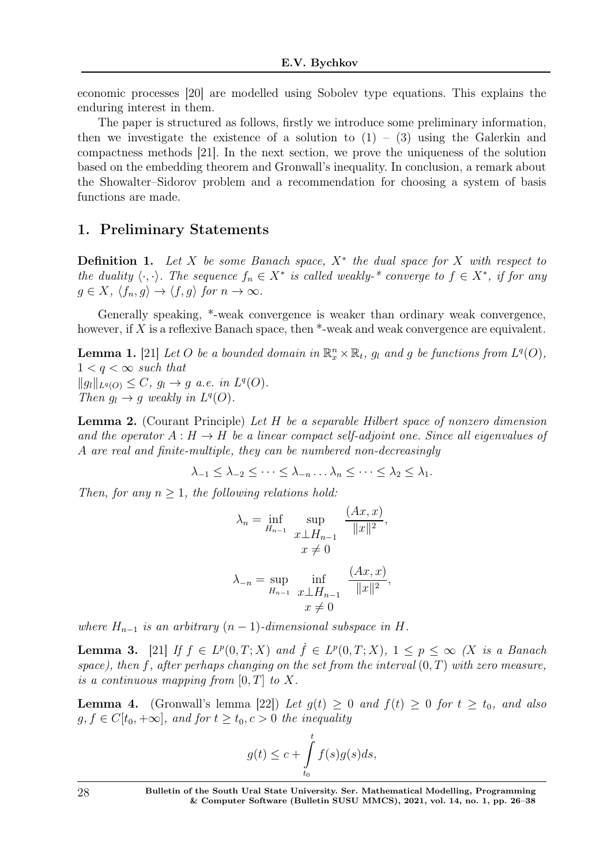economic processes [20] are modelled using Sobolev type equations. This explains the enduring interest in them.

The paper is structured as follows, firstly we introduce some preliminary information, then we investigate the existence of a solution to  $(1) - (3)$  using the Galerkin and compactness methods [21]. In the next section, we prove the uniqueness of the solution based on the embedding theorem and Gronwall's inequality. In conclusion, a remark about the Showalter–Sidorov problem and a recommendation for choosing a system of basis functions are made.

## 1. Preliminary Statements

**Definition 1.** Let X be some Banach space,  $X^*$  the dual space for X with respect to the duality  $\langle \cdot, \cdot \rangle$ . The sequence  $f_n \in X^*$  is called weakly-\* converge to  $f \in X^*$ , if for any  $g \in X$ ,  $\langle f_n, g \rangle \to \langle f, g \rangle$  for  $n \to \infty$ .

Generally speaking, \*-weak convergence is weaker than ordinary weak convergence, however, if  $X$  is a reflexive Banach space, then  $*$ -weak and weak convergence are equivalent.

**Lemma 1.** [21] Let O be a bounded domain in  $\mathbb{R}_x^n \times \mathbb{R}_t$ ,  $g_l$  and g be functions from  $L^q(O)$ ,  $1 < q < \infty$  such that  $||g_l||_{L^q(O)} \leq C, g_l \to g \text{ a.e. in } L^q(O).$ Then  $g_l \to g$  weakly in  $L^q(O)$ .

Lemma 2. (Courant Principle) Let H be a separable Hilbert space of nonzero dimension and the operator  $A: H \to H$  be a linear compact self-adjoint one. Since all eigenvalues of A are real and finite-multiple, they can be numbered non-decreasingly

 $\lambda_{-1} < \lambda_{-2} < \cdots < \lambda_{-n} \ldots \lambda_n < \cdots < \lambda_2 < \lambda_1$ .

Then, for any  $n \geq 1$ , the following relations hold:

$$
\lambda_n = \inf_{H_{n-1}} \sup_{x \perp H_{n-1}} \frac{(Ax, x)}{\|x\|^2},
$$
  

$$
x \neq 0
$$
  

$$
\lambda_{-n} = \sup_{H_{n-1}} \inf_{x \perp H_{n-1}} \frac{(Ax, x)}{\|x\|^2},
$$
  

$$
x \neq 0
$$

where  $H_{n-1}$  is an arbitrary  $(n-1)$ -dimensional subspace in H.

**Lemma 3.** [21] If  $f \in L^p(0,T;X)$  and  $\dot{f} \in L^p(0,T;X)$ ,  $1 \leq p \leq \infty$  (X is a Banach space), then f, after perhaps changing on the set from the interval  $(0,T)$  with zero measure, is a continuous mapping from  $[0, T]$  to X.

**Lemma 4.** (Gronwall's lemma [22]) Let  $g(t) \geq 0$  and  $f(t) \geq 0$  for  $t \geq t_0$ , and also  $g, f \in C[t_0, +\infty]$ , and for  $t \geq t_0, c > 0$  the inequality

$$
g(t) \le c + \int_{t_0}^t f(s)g(s)ds,
$$

28 Bulletin of the South Ural State University. Ser. Mathematical Modelling, Programming & Computer Software (Bulletin SUSU MMCS), 2021, vol. 14, no. 1, pp. 26–38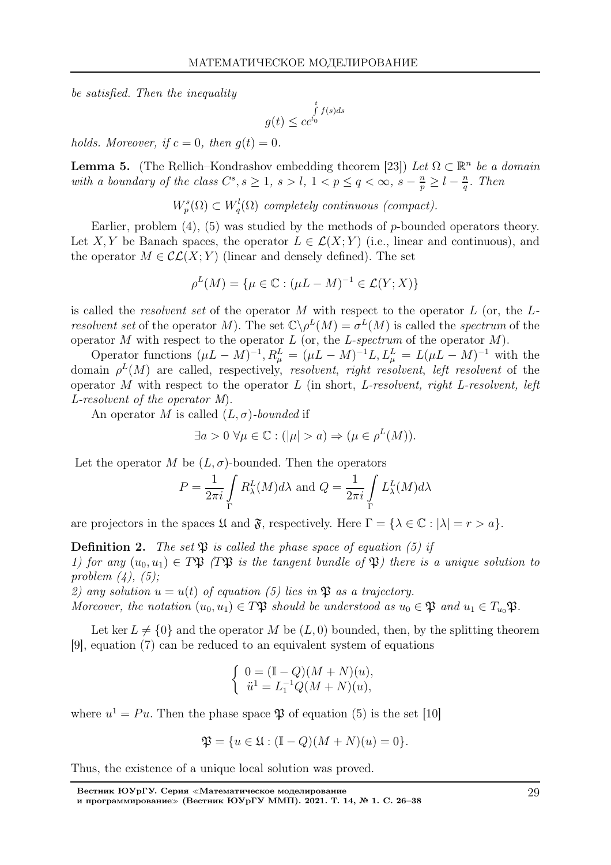be satisfied. Then the inequality

$$
g(t) \leq \mathop{c e^{t_0}}\limits^t f(s)ds
$$

holds. Moreover, if  $c = 0$ , then  $q(t) = 0$ .

**Lemma 5.** (The Rellich–Kondrashov embedding theorem [23]) Let  $\Omega \subset \mathbb{R}^n$  be a domain with a boundary of the class  $C^s$ ,  $s \geq 1$ ,  $s > l$ ,  $1 < p \leq q < \infty$ ,  $s - \frac{n}{p} \geq l - \frac{n}{q}$  $\frac{n}{q}$ . Then

 $W_p^s(\Omega) \subset W_q^l(\Omega)$  completely continuous (compact).

Earlier, problem  $(4)$ ,  $(5)$  was studied by the methods of p-bounded operators theory. Let X, Y be Banach spaces, the operator  $L \in \mathcal{L}(X;Y)$  (i.e., linear and continuous), and the operator  $M \in \mathcal{CL}(X;Y)$  (linear and densely defined). The set

$$
\rho^L(M) = \{ \mu \in \mathbb{C} : (\mu L - M)^{-1} \in \mathcal{L}(Y; X) \}
$$

is called the *resolvent set* of the operator M with respect to the operator L (or, the  $L$ resolvent set of the operator M). The set  $\mathbb{C} \backslash \rho^L(M) = \sigma^L(M)$  is called the spectrum of the operator M with respect to the operator  $L$  (or, the L-spectrum of the operator  $M$ ).

Operator functions  $(\mu L - M)^{-1}$ ,  $R_{\mu}^{L} = (\mu L - M)^{-1}L$ ,  $L_{\mu}^{L} = L(\mu L - M)^{-1}$  with the domain  $\rho^L(M)$  are called, respectively, resolvent, right resolvent, left resolvent of the operator M with respect to the operator  $L$  (in short, L-resolvent, right L-resolvent, left L-resolvent of the operator M).

An operator M is called  $(L, \sigma)$ -bounded if

$$
\exists a > 0 \,\,\forall \mu \in \mathbb{C} : (|\mu| > a) \Rightarrow (\mu \in \rho^L(M)).
$$

Let the operator M be  $(L, \sigma)$ -bounded. Then the operators

$$
P = \frac{1}{2\pi i} \int\limits_{\Gamma} R_{\lambda}^{L}(M) d\lambda \text{ and } Q = \frac{1}{2\pi i} \int\limits_{\Gamma} L_{\lambda}^{L}(M) d\lambda
$$

are projectors in the spaces  $\mathfrak U$  and  $\mathfrak F$ , respectively. Here  $\Gamma = {\lambda \in \mathbb C : |\lambda| = r > a}.$ 

**Definition 2.** The set  $\mathfrak{B}$  is called the phase space of equation (5) if 1) for any  $(u_0, u_1) \in T\mathfrak{P}$  (T\pps is the tangent bundle of  $\mathfrak{P}$ ) there is a unique solution to problem  $(4)$ ,  $(5)$ ;

2) any solution  $u = u(t)$  of equation (5) lies in  $\mathfrak P$  as a trajectory.

Moreover, the notation  $(u_0, u_1) \in T \mathfrak{P}$  should be understood as  $u_0 \in \mathfrak{P}$  and  $u_1 \in T_{u_0} \mathfrak{P}$ .

Let ker  $L \neq \{0\}$  and the operator M be  $(L, 0)$  bounded, then, by the splitting theorem [9], equation (7) can be reduced to an equivalent system of equations

$$
\left\{ \begin{array}{ll} 0=(\mathbb{I}-Q)(M+N)(u), \\ \ddot{u}^1=L_1^{-1}Q(M+N)(u), \end{array} \right.
$$

where  $u^1 = Pu$ . Then the phase space  $\mathfrak P$  of equation (5) is the set [10]

$$
\mathfrak{P} = \{ u \in \mathfrak{U} : (\mathbb{I} - Q)(M + N)(u) = 0 \}.
$$

Thus, the existence of a unique local solution was proved.

Вестник ЮУрГУ. Серия <sup>≪</sup>Математическое моделирование и программирование<sup>≫</sup> (Вестник ЮУрГУ ММП). 2021. Т. 14, № 1. С. 26–38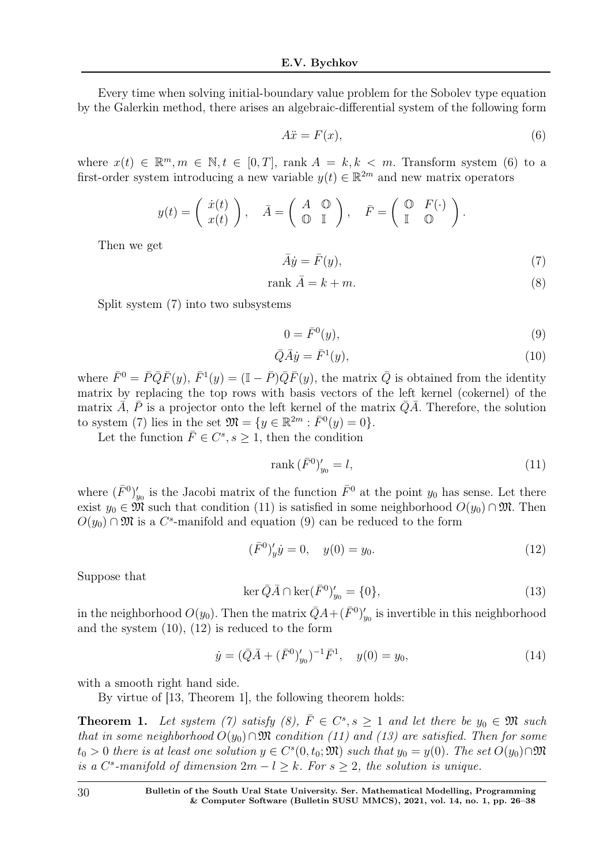Every time when solving initial-boundary value problem for the Sobolev type equation by the Galerkin method, there arises an algebraic-differential system of the following form

$$
A\ddot{x} = F(x),\tag{6}
$$

where  $x(t) \in \mathbb{R}^m, m \in \mathbb{N}, t \in [0, T]$ , rank  $A = k, k < m$ . Transform system (6) to a first-order system introducing a new variable  $y(t) \in \mathbb{R}^{2m}$  and new matrix operators

$$
y(t) = \left(\begin{array}{c} \dot{x}(t) \\ x(t) \end{array}\right), \quad \bar{A} = \left(\begin{array}{cc} A & \mathbb{O} \\ \mathbb{O} & \mathbb{I} \end{array}\right), \quad \bar{F} = \left(\begin{array}{cc} \mathbb{O} & F(\cdot) \\ \mathbb{I} & \mathbb{O} \end{array}\right).
$$

Then we get

$$
\bar{A}\dot{y} = \bar{F}(y),\tag{7}
$$

$$
rank \ \bar{A} = k + m. \tag{8}
$$

Split system (7) into two subsystems

$$
0 = \bar{F}^0(y),\tag{9}
$$

$$
\overline{Q}\overline{A}\dot{y} = \overline{F}^1(y),\tag{10}
$$

where  $\bar{F}^0 = \bar{P}\bar{Q}\bar{F}(y), \ \bar{F}^1(y) = (\mathbb{I} - \bar{P})\bar{Q}\bar{F}(y)$ , the matrix  $\bar{Q}$  is obtained from the identity matrix by replacing the top rows with basis vectors of the left kernel (cokernel) of the matrix  $\overline{A}$ ,  $\overline{P}$  is a projector onto the left kernel of the matrix  $\overline{Q}\overline{A}$ . Therefore, the solution to system (7) lies in the set  $\mathfrak{M} = \{ y \in \mathbb{R}^{2m} : \overline{F}^0(y) = 0 \}.$ 

Let the function  $\bar{F} \in C^s, s \ge 1$ , then the condition

$$
\operatorname{rank}\left(\bar{F}^{0}\right)'_{y_{0}} = l,\tag{11}
$$

where  $(\bar{F}^0)'_v$  $y_0$  is the Jacobi matrix of the function  $\bar{F}^0$  at the point  $y_0$  has sense. Let there exist  $y_0 \in \mathfrak{M}$  such that condition (11) is satisfied in some neighborhood  $O(y_0) \cap \mathfrak{M}$ . Then  $O(y_0) \cap \mathfrak{M}$  is a  $C^s$ -manifold and equation (9) can be reduced to the form

$$
(\bar{F}^0)'_y \dot{y} = 0, \quad y(0) = y_0. \tag{12}
$$

Suppose that

$$
\ker \bar{Q}\bar{A} \cap \ker(\bar{F}^0)'_{y_0} = \{0\},\tag{13}
$$

in the neighborhood  $O(y_0)$ . Then the matrix  $\bar{Q}A + (\bar{F}^0)'_y$  $y_0$  is invertible in this neighborhood and the system (10), (12) is reduced to the form

$$
\dot{y} = (\bar{Q}\bar{A} + (\bar{F}^0)'_{y_0})^{-1}\bar{F}^1, \quad y(0) = y_0,\tag{14}
$$

with a smooth right hand side.

By virtue of [13, Theorem 1], the following theorem holds:

**Theorem 1.** Let system (7) satisfy (8),  $\overline{F} \in C^s$ ,  $s \ge 1$  and let there be  $y_0 \in \mathfrak{M}$  such that in some neighborhood  $O(y_0) \cap \mathfrak{M}$  condition (11) and (13) are satisfied. Then for some  $t_0 > 0$  there is at least one solution  $y \in C<sup>s</sup>(0, t_0; \mathfrak{M})$  such that  $y_0 = y(0)$ . The set  $O(y_0) \cap \mathfrak{M}$ is a  $C^s$ -manifold of dimension  $2m - l \geq k$ . For  $s \geq 2$ , the solution is unique.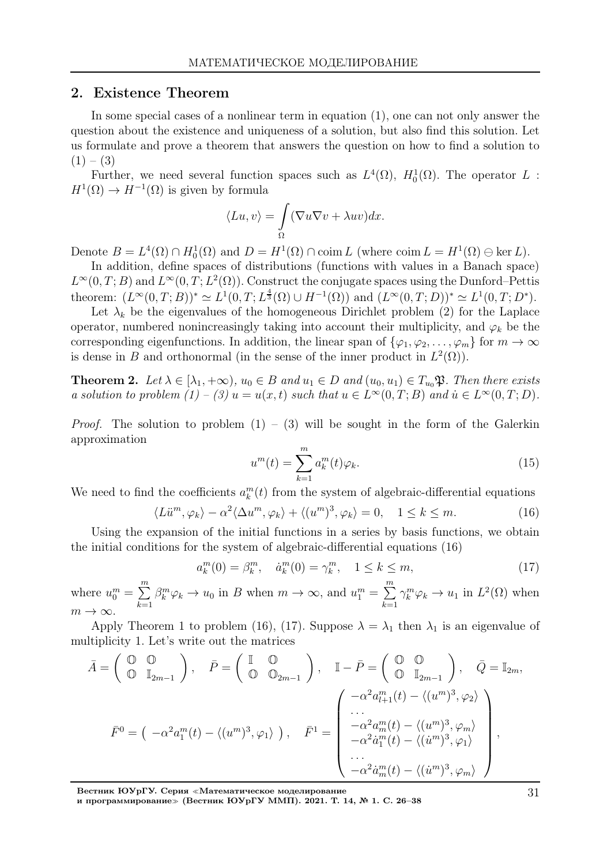#### 2. Existence Theorem

In some special cases of a nonlinear term in equation (1), one can not only answer the question about the existence and uniqueness of a solution, but also find this solution. Let us formulate and prove a theorem that answers the question on how to find a solution to  $(1) - (3)$ 

Further, we need several function spaces such as  $L^4(\Omega)$ ,  $H_0^1(\Omega)$ . The operator L:  $H^1(\Omega) \to H^{-1}(\Omega)$  is given by formula

$$
\langle Lu, v \rangle = \int_{\Omega} (\nabla u \nabla v + \lambda uv) dx.
$$

Denote  $B = L^4(\Omega) \cap H_0^1(\Omega)$  and  $D = H^1(\Omega) \cap \text{coim } L$  (where  $\text{coim } L = H^1(\Omega) \oplus \text{ker } L$ ).

In addition, define spaces of distributions (functions with values in a Banach space)  $L^{\infty}(0,T;B)$  and  $L^{\infty}(0,T;L^2(\Omega))$ . Construct the conjugate spaces using the Dunford–Pettis theorem:  $(L^{\infty}(0,T;B))^* \simeq L^1(0,T;L^{\frac{4}{3}}(\Omega) \cup H^{-1}(\Omega))$  and  $(L^{\infty}(0,T;D))^* \simeq L^1(0,T;D^*).$ 

Let  $\lambda_k$  be the eigenvalues of the homogeneous Dirichlet problem (2) for the Laplace operator, numbered nonincreasingly taking into account their multiplicity, and  $\varphi_k$  be the corresponding eigenfunctions. In addition, the linear span of  $\{\varphi_1, \varphi_2, \ldots, \varphi_m\}$  for  $m \to \infty$ is dense in B and orthonormal (in the sense of the inner product in  $L^2(\Omega)$ ).

**Theorem 2.** Let  $\lambda \in [\lambda_1, +\infty)$ ,  $u_0 \in B$  and  $u_1 \in D$  and  $(u_0, u_1) \in T_{u_0} \mathfrak{P}$ . Then there exists a solution to problem  $(1) - (3) u = u(x,t)$  such that  $u \in L^{\infty}(0,T;B)$  and  $u \in L^{\infty}(0,T;D)$ .

*Proof.* The solution to problem  $(1) - (3)$  will be sought in the form of the Galerkin approximation

$$
u^m(t) = \sum_{k=1}^m a_k^m(t)\varphi_k.
$$
\n(15)

We need to find the coefficients  $a_k^m(t)$  from the system of algebraic-differential equations

$$
\langle L\ddot{u}^m, \varphi_k \rangle - \alpha^2 \langle \Delta u^m, \varphi_k \rangle + \langle (u^m)^3, \varphi_k \rangle = 0, \quad 1 \le k \le m. \tag{16}
$$

Using the expansion of the initial functions in a series by basis functions, we obtain the initial conditions for the system of algebraic-differential equations (16)

$$
a_k^m(0) = \beta_k^m, \quad \dot{a}_k^m(0) = \gamma_k^m, \quad 1 \le k \le m,
$$
\n(17)

where  $u_0^m = \sum_{n=1}^{\infty}$  $_{k=1}$  $\beta_k^m \varphi_k \to u_0$  in B when  $m \to \infty$ , and  $u_1^m = \sum_{n=1}^{\infty}$  $_{k=1}$  $\gamma_k^m \varphi_k \to u_1$  in  $L^2(\Omega)$  when  $m \to \infty$ .

Apply Theorem 1 to problem (16), (17). Suppose  $\lambda = \lambda_1$  then  $\lambda_1$  is an eigenvalue of multiplicity 1. Let's write out the matrices

$$
\bar{A} = \begin{pmatrix} \mathbb{O} & \mathbb{O} \\ \mathbb{O} & \mathbb{I}_{2m-1} \end{pmatrix}, \quad \bar{P} = \begin{pmatrix} \mathbb{I} & \mathbb{O} \\ \mathbb{O} & \mathbb{O}_{2m-1} \end{pmatrix}, \quad \mathbb{I} - \bar{P} = \begin{pmatrix} \mathbb{O} & \mathbb{O} \\ \mathbb{O} & \mathbb{I}_{2m-1} \end{pmatrix}, \quad \bar{Q} = \mathbb{I}_{2m},
$$
\n
$$
\bar{F}^0 = \begin{pmatrix} -\alpha^2 a_1^m(t) - \langle (u^m)^3, \varphi_1 \rangle \\ \cdots \\ -\alpha^2 a_m^m(t) - \langle (u^m)^3, \varphi_n \rangle \\ -\alpha^2 a_1^m(t) - \langle (u^m)^3, \varphi_1 \rangle \\ \cdots \\ -\alpha^2 a_m^m(t) - \langle (u^m)^3, \varphi_1 \rangle \\ \cdots \\ -\alpha^2 a_m^m(t) - \langle (u^m)^3, \varphi_m \rangle \end{pmatrix},
$$

Вестник ЮУрГУ. Серия <sup>≪</sup>Математическое моделирование

и программирование<sup>≫</sup> (Вестник ЮУрГУ ММП). 2021. Т. 14, № 1. С. 26–38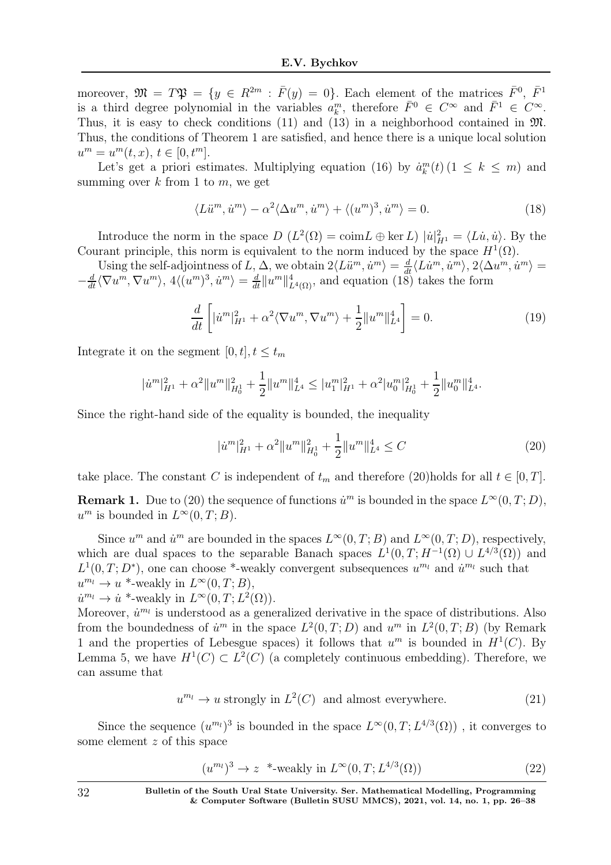moreover,  $\mathfrak{M} = T\mathfrak{P} = \{y \in R^{2m} : \overline{F}(y) = 0\}$ . Each element of the matrices  $\overline{F}^0$ ,  $\overline{F}^1$ is a third degree polynomial in the variables  $a_k^m$ , therefore  $\bar{F}^0 \in C^{\infty}$  and  $\bar{F}^1 \in C^{\infty}$ . Thus, it is easy to check conditions (11) and (13) in a neighborhood contained in M. Thus, the conditions of Theorem 1 are satisfied, and hence there is a unique local solution  $u^m = u^m(t, x), t \in [0, t^m].$ 

Let's get a priori estimates. Multiplying equation (16) by  $\dot{a}_k^m(t)$  (1  $\leq$  k  $\leq$  m) and summing over  $k$  from 1 to  $m$ , we get

$$
\langle Li^{m}, \dot{u}^{m} \rangle - \alpha^{2} \langle \Delta u^{m}, \dot{u}^{m} \rangle + \langle (u^{m})^{3}, \dot{u}^{m} \rangle = 0. \tag{18}
$$

Introduce the norm in the space  $D(L^2(\Omega) = \text{coim} L \oplus \text{ker } L) |u|_{H^1}^2 = \langle L\dot{u}, \dot{u} \rangle$ . By the Courant principle, this norm is equivalent to the norm induced by the space  $H^1(\Omega)$ .

Using the self-adjointness of L,  $\Delta$ , we obtain  $2\langle L\ddot{u}^m, \dot{u}^m \rangle = \frac{d}{dt}\langle L\dot{u}^m, \dot{u}^m \rangle$ ,  $2\langle \Delta u^m, \dot{u}^m \rangle =$  $-\frac{d}{dt}\langle \nabla u^m, \nabla u^m \rangle$ ,  $4\langle (u^m)^3, \dot{u}^m \rangle = \frac{d}{dt} ||u^m||^4_{L^4(\Omega)}$ , and equation  $(18)$  takes the form

$$
\frac{d}{dt}\left[|\dot{u}^m|_{H^1}^2 + \alpha^2 \langle \nabla u^m, \nabla u^m \rangle + \frac{1}{2}||u^m||_{L^4}^4\right] = 0.
$$
\n(19)

Integrate it on the segment  $[0, t], t \leq t_m$ 

$$
|\dot{u}^m|_{H^1}^2 + \alpha^2 \|u^m\|_{H_0^1}^2 + \frac{1}{2} \|u^m\|_{L^4}^4 \le |u_1^m|_{H^1}^2 + \alpha^2 |u_0^m|_{H_0^1}^2 + \frac{1}{2} \|u_0^m\|_{L^4}^4.
$$

Since the right-hand side of the equality is bounded, the inequality

$$
|\dot{u}^m|_{H^1}^2 + \alpha^2 \|u^m\|_{H_0^1}^2 + \frac{1}{2} \|u^m\|_{L^4}^4 \le C \tag{20}
$$

take place. The constant C is independent of  $t_m$  and therefore (20)holds for all  $t \in [0, T]$ .

**Remark 1.** Due to (20) the sequence of functions  $\dot{u}^m$  is bounded in the space  $L^{\infty}(0,T;D)$ ,  $u^m$  is bounded in  $L^{\infty}(0,T;B)$ .

Since  $u^m$  and  $\dot{u}^m$  are bounded in the spaces  $L^{\infty}(0,T;B)$  and  $L^{\infty}(0,T;D)$ , respectively, which are dual spaces to the separable Banach spaces  $L^1(0,T;H^{-1}(\Omega) \cup L^{4/3}(\Omega))$  and  $L^1(0,T;D^*)$ , one can choose \*-weakly convergent subsequences  $u^{m_l}$  and  $\dot{u}^{m_l}$  such that  $u^{m_l} \to u^*$ -weakly in  $L^{\infty}(0,T;B)$ ,

 $\dot{u}^{m_l} \to \dot{u}^*$ -weakly in  $L^{\infty}(0,T; L^2(\Omega)).$ 

Moreover,  $\dot{u}^{m_l}$  is understood as a generalized derivative in the space of distributions. Also from the boundedness of  $\dot{u}^m$  in the space  $L^2(0,T;D)$  and  $u^m$  in  $L^2(0,T;B)$  (by Remark 1 and the properties of Lebesgue spaces) it follows that  $u^m$  is bounded in  $H^1(C)$ . By Lemma 5, we have  $H^1(C) \subset L^2(C)$  (a completely continuous embedding). Therefore, we can assume that

$$
u^{m_l} \to u \text{ strongly in } L^2(C) \text{ and almost everywhere.}
$$
 (21)

Since the sequence  $(u^{m_l})^3$  is bounded in the space  $L^{\infty}(0,T; L^{4/3}(\Omega))$ , it converges to some element z of this space

$$
(u^{m_l})^3 \to z^* \text{-weakly in } L^\infty(0, T; L^{4/3}(\Omega))
$$
\n
$$
(22)
$$

32 Bulletin of the South Ural State University. Ser. Mathematical Modelling, Programming & Computer Software (Bulletin SUSU MMCS), 2021, vol. 14, no. 1, pp. 26–38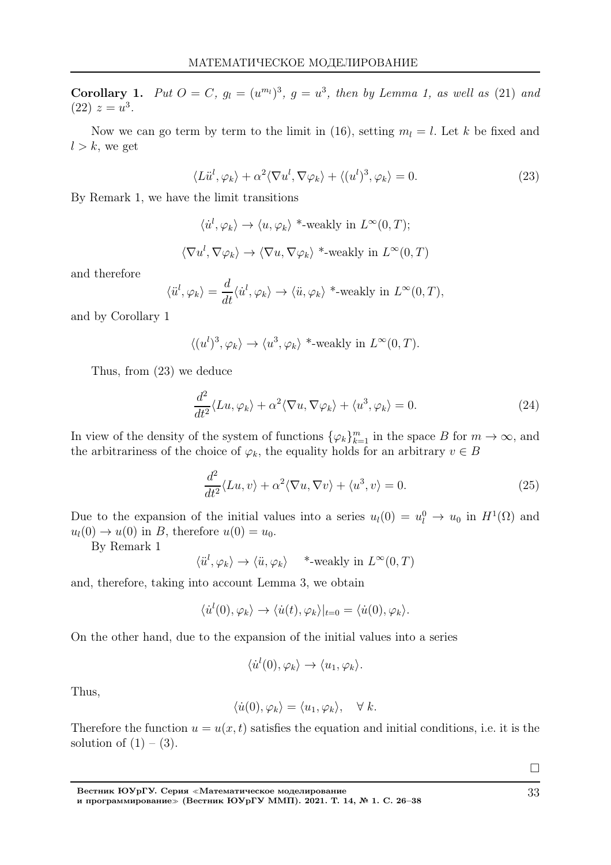**Corollary 1.** Put  $O = C$ ,  $g_l = (u^{m_l})^3$ ,  $g = u^3$ , then by Lemma 1, as well as (21) and  $(22) z = u^3$ .

Now we can go term by term to the limit in (16), setting  $m_l = l$ . Let k be fixed and  $l > k$ , we get

$$
\langle L\ddot{u}^l, \varphi_k \rangle + \alpha^2 \langle \nabla u^l, \nabla \varphi_k \rangle + \langle (u^l)^3, \varphi_k \rangle = 0.
$$
 (23)

By Remark 1, we have the limit transitions

$$
\langle \dot{u}^l, \varphi_k \rangle \to \langle u, \varphi_k \rangle *_{\text{-weakly in }} L^{\infty}(0, T);
$$
  

$$
\langle \nabla u^l, \nabla \varphi_k \rangle \to \langle \nabla u, \nabla \varphi_k \rangle *_{\text{-weakly in }} L^{\infty}(0, T)
$$

and therefore

$$
\langle \ddot{u}^l, \varphi_k \rangle = \frac{d}{dt} \langle \dot{u}^l, \varphi_k \rangle \to \langle \ddot{u}, \varphi_k \rangle^* \text{-weakly in } L^{\infty}(0, T),
$$

and by Corollary 1

$$
\langle (u^l)^3, \varphi_k \rangle \to \langle u^3, \varphi_k \rangle
$$
 \*-weakly in  $L^{\infty}(0, T)$ .

Thus, from (23) we deduce

$$
\frac{d^2}{dt^2} \langle Lu, \varphi_k \rangle + \alpha^2 \langle \nabla u, \nabla \varphi_k \rangle + \langle u^3, \varphi_k \rangle = 0.
$$
 (24)

In view of the density of the system of functions  $\{\varphi_k\}_{k=1}^m$  in the space B for  $m \to \infty$ , and the arbitrariness of the choice of  $\varphi_k$ , the equality holds for an arbitrary  $v \in B$ 

$$
\frac{d^2}{dt^2} \langle Lu, v \rangle + \alpha^2 \langle \nabla u, \nabla v \rangle + \langle u^3, v \rangle = 0.
$$
 (25)

Due to the expansion of the initial values into a series  $u_l(0) = u_l^0 \to u_0$  in  $H^1(\Omega)$  and  $u_l(0) \rightarrow u(0)$  in B, therefore  $u(0) = u_0$ .

By Remark 1

$$
\langle \ddot{u}^l, \varphi_k \rangle \to \langle \ddot{u}, \varphi_k \rangle
$$
 \*-weakly in  $L^{\infty}(0, T)$ 

and, therefore, taking into account Lemma 3, we obtain

$$
\langle \dot{u}^l(0), \varphi_k \rangle \to \langle \dot{u}(t), \varphi_k \rangle|_{t=0} = \langle \dot{u}(0), \varphi_k \rangle.
$$

On the other hand, due to the expansion of the initial values into a series

$$
\langle \dot{u}^l(0), \varphi_k \rangle \to \langle u_1, \varphi_k \rangle.
$$

Thus,

$$
\langle \dot{u}(0), \varphi_k \rangle = \langle u_1, \varphi_k \rangle, \quad \forall \ k.
$$

Therefore the function  $u = u(x, t)$  satisfies the equation and initial conditions, i.e. it is the solution of  $(1) - (3)$ .

 $\Box$ 

Вестник ЮУрГУ. Серия <sup>≪</sup>Математическое моделирование и программирование<sup>≫</sup> (Вестник ЮУрГУ ММП). 2021. Т. 14, № 1. С. 26–38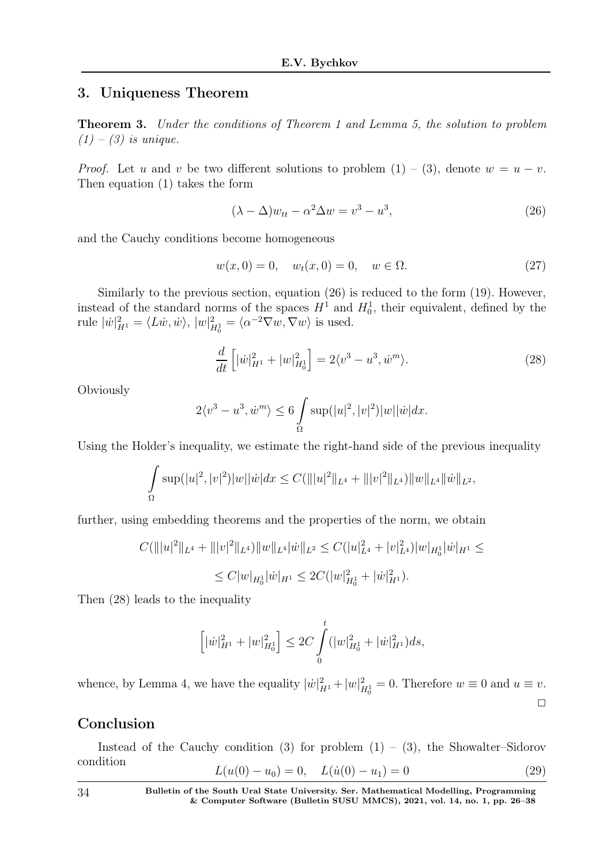## 3. Uniqueness Theorem

Theorem 3. Under the conditions of Theorem 1 and Lemma 5, the solution to problem  $(1)$  –  $(3)$  is unique.

*Proof.* Let u and v be two different solutions to problem  $(1) - (3)$ , denote  $w = u - v$ . Then equation (1) takes the form

$$
(\lambda - \Delta)w_{tt} - \alpha^2 \Delta w = v^3 - u^3,\tag{26}
$$

and the Cauchy conditions become homogeneous

$$
w(x,0) = 0, \quad w_t(x,0) = 0, \quad w \in \Omega.
$$
 (27)

Similarly to the previous section, equation (26) is reduced to the form (19). However, instead of the standard norms of the spaces  $H^1$  and  $H_0^1$ , their equivalent, defined by the rule  $|\dot{w}|^2_{H^1} = \langle L\dot{w}, \dot{w}\rangle, |w|^2_{H^1_0} = \langle \alpha^{-2} \nabla w, \nabla w \rangle$  is used.

$$
\frac{d}{dt}\left[|\dot{w}|_{H^1}^2 + |w|_{H_0^1}^2\right] = 2\langle v^3 - u^3, \dot{w}^m \rangle. \tag{28}
$$

**Obviously** 

$$
2\langle v^3 - u^3, \dot{w}^m \rangle \le 6 \int_{\Omega} \sup(|u|^2, |v|^2)|w||\dot{w}|dx.
$$

Using the Holder's inequality, we estimate the right-hand side of the previous inequality

$$
\int_{\Omega} \sup(|u|^2, |v|^2)|w||\dot{w}|dx \leq C(|||u|^2||_{L^4} + |||v|^2||_{L^4})||w||_{L^4}||\dot{w}||_{L^2},
$$

further, using embedding theorems and the properties of the norm, we obtain

$$
C(\||u|^2\|_{L^4} + \||v|^2\|_{L^4})\|w\|_{L^4}|\dot{w}\|_{L^2} \le C(|u|^2_{L^4} + |v|^2_{L^4})|w|_{H^1_0}|\dot{w}|_{H^1} \le
$$
  

$$
\le C|w|_{H^1_0}|\dot{w}|_{H^1} \le 2C(|w|^2_{H^1_0} + |\dot{w}|^2_{H^1}).
$$

Then (28) leads to the inequality

$$
\left[|\dot{w}|_{H^1}^2 + |w|_{H_0^1}^2\right] \le 2C \int_0^t (|w|_{H_0^1}^2 + |\dot{w}|_{H^1}^2) ds,
$$

whence, by Lemma 4, we have the equality  $|\dot{w}|^2_{H^1} + |w|^2_{H^1_0} = 0$ . Therefore  $w \equiv 0$  and  $u \equiv v$ .  $\Box$ 

# Conclusion

Instead of the Cauchy condition (3) for problem  $(1) - (3)$ , the Showalter–Sidorov condition  $L(u(0) - u_0) = 0$   $L(\dot{u}(0) - u_1) = 0$  (29)

$$
L(u(0) - u_0) = 0, \quad L(u(0) - u_1) = 0 \tag{23}
$$

34 Bulletin of the South Ural State University. Ser. Mathematical Modelling, Programming & Computer Software (Bulletin SUSU MMCS), 2021, vol. 14, no. 1, pp. 26–38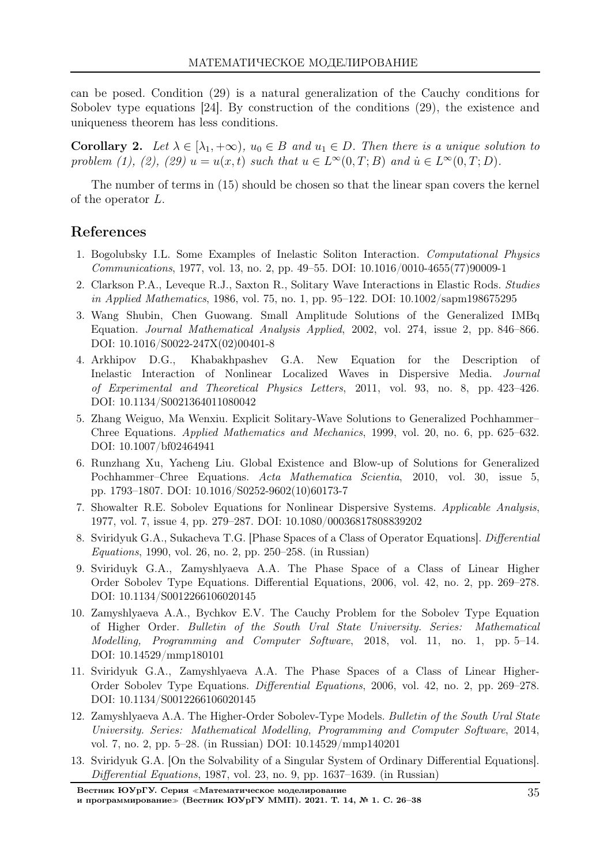can be posed. Condition (29) is a natural generalization of the Cauchy conditions for Sobolev type equations [24]. By construction of the conditions (29), the existence and uniqueness theorem has less conditions.

**Corollary 2.** Let  $\lambda \in [\lambda_1, +\infty)$ ,  $u_0 \in B$  and  $u_1 \in D$ . Then there is a unique solution to problem (1), (2), (29)  $u = u(x, t)$  such that  $u \in L^{\infty}(0,T;B)$  and  $u \in L^{\infty}(0,T;D)$ .

The number of terms in (15) should be chosen so that the linear span covers the kernel of the operator L.

## References

- 1. Bogolubsky I.L. Some Examples of Inelastic Soliton Interaction. Computational Physics Communications, 1977, vol. 13, no. 2, pp. 49–55. DOI: 10.1016/0010-4655(77)90009-1
- 2. Clarkson P.A., Leveque R.J., Saxton R., Solitary Wave Interactions in Elastic Rods. Studies in Applied Mathematics, 1986, vol. 75, no. 1, pp. 95–122. DOI: 10.1002/sapm198675295
- 3. Wang Shubin, Chen Guowang. Small Amplitude Solutions of the Generalized IMBq Equation. Journal Mathematical Analysis Applied, 2002, vol. 274, issue 2, pp. 846–866. DOI: 10.1016/S0022-247X(02)00401-8
- 4. Arkhipov D.G., Khabakhpashev G.A. New Equation for the Description of Inelastic Interaction of Nonlinear Localized Waves in Dispersive Media. Journal of Experimental and Theoretical Physics Letters, 2011, vol. 93, no. 8, pp. 423–426. DOI: 10.1134/S0021364011080042
- 5. Zhang Weiguo, Ma Wenxiu. Explicit Solitary-Wave Solutions to Generalized Pochhammer– Chree Equations. Applied Mathematics and Mechanics, 1999, vol. 20, no. 6, pp. 625–632. DOI: 10.1007/bf02464941
- 6. Runzhang Xu, Yacheng Liu. Global Existence and Blow-up of Solutions for Generalized Pochhammer–Chree Equations. Acta Mathematica Scientia, 2010, vol. 30, issue 5, pp. 1793–1807. DOI: 10.1016/S0252-9602(10)60173-7
- 7. Showalter R.E. Sobolev Equations for Nonlinear Dispersive Systems. Applicable Analysis, 1977, vol. 7, issue 4, pp. 279–287. DOI: 10.1080/00036817808839202
- 8. Sviridyuk G.A., Sukacheva T.G. [Phase Spaces of a Class of Operator Equations]. Differential Equations, 1990, vol. 26, no. 2, pp. 250–258. (in Russian)
- 9. Sviriduyk G.A., Zamyshlyaeva A.A. The Phase Space of a Class of Linear Higher Order Sobolev Type Equations. Differential Equations, 2006, vol. 42, no. 2, pp. 269–278. DOI: 10.1134/S0012266106020145
- 10. Zamyshlyaeva A.A., Bychkov E.V. The Cauchy Problem for the Sobolev Type Equation of Higher Order. Bulletin of the South Ural State University. Series: Mathematical Modelling, Programming and Computer Software, 2018, vol. 11, no. 1, pp. 5–14. DOI: 10.14529/mmp180101
- 11. Sviridyuk G.A., Zamyshlyaeva A.A. The Phase Spaces of a Class of Linear Higher-Order Sobolev Type Equations. *Differential Equations*, 2006, vol. 42, no. 2, pp. 269–278. DOI: 10.1134/S0012266106020145
- 12. Zamyshlyaeva A.A. The Higher-Order Sobolev-Type Models. Bulletin of the South Ural State University. Series: Mathematical Modelling, Programming and Computer Software, 2014, vol. 7, no. 2, pp. 5–28. (in Russian) DOI: 10.14529/mmp140201
- 13. Sviridyuk G.A. [On the Solvability of a Singular System of Ordinary Differential Equations]. Differential Equations, 1987, vol. 23, no. 9, pp. 1637–1639. (in Russian)

Вестник ЮУрГУ. Серия <sup>≪</sup>Математическое моделирование

и программирование<sup>≫</sup> (Вестник ЮУрГУ ММП). 2021. Т. 14, № 1. С. 26–38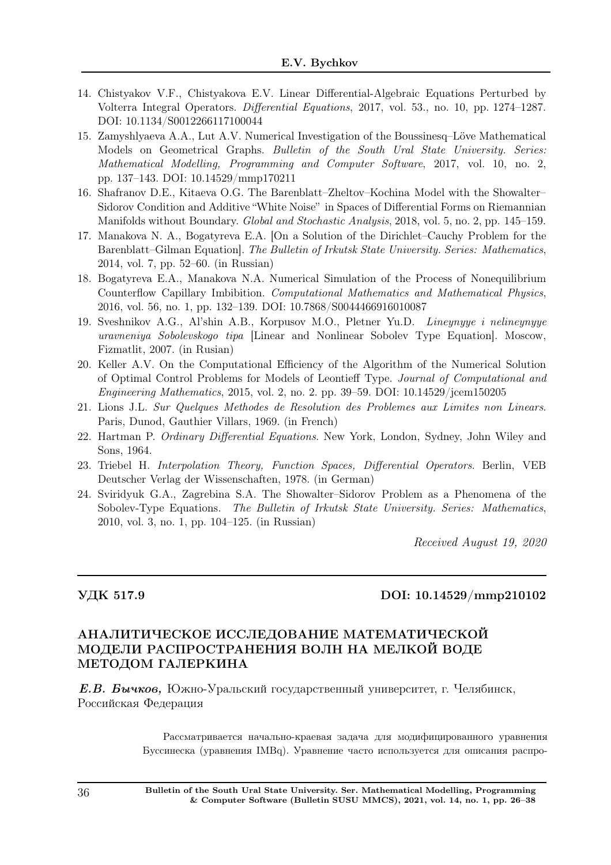- 14. Chistyakov V.F., Chistyakova E.V. Linear Differential-Algebraic Equations Perturbed by Volterra Integral Operators. Differential Equations, 2017, vol. 53., no. 10, pp. 1274–1287. DOI: 10.1134/S0012266117100044
- 15. Zamyshlyaeva A.A., Lut A.V. Numerical Investigation of the Boussinesq–Löve Mathematical Models on Geometrical Graphs. Bulletin of the South Ural State University. Series: Mathematical Modelling, Programming and Computer Software, 2017, vol. 10, no. 2, pp. 137–143. DOI: 10.14529/mmp170211
- 16. Shafranov D.E., Kitaeva O.G. The Barenblatt–Zheltov–Kochina Model with the Showalter– Sidorov Condition and Additive "White Noise" in Spaces of Differential Forms on Riemannian Manifolds without Boundary. Global and Stochastic Analysis, 2018, vol. 5, no. 2, pp. 145–159.
- 17. Manakova N. A., Bogatyreva E.A. [On a Solution of the Dirichlet–Cauchy Problem for the Barenblatt–Gilman Equation]. The Bulletin of Irkutsk State University. Series: Mathematics, 2014, vol. 7, pp. 52–60. (in Russian)
- 18. Bogatyreva E.A., Manakova N.A. Numerical Simulation of the Process of Nonequilibrium Counterflow Capillary Imbibition. Computational Mathematics and Mathematical Physics, 2016, vol. 56, no. 1, pp. 132–139. DOI: 10.7868/S0044466916010087
- 19. Sveshnikov A.G., Al'shin A.B., Korpusov M.O., Pletner Yu.D. Lineynyye i nelineynyye uravneniya Sobolevskogo tipa [Linear and Nonlinear Sobolev Type Equation]. Мoscow, Fizmatlit, 2007. (in Rusian)
- 20. Keller A.V. On the Computational Efficiency of the Algorithm of the Numerical Solution of Optimal Control Problems for Models of Leontieff Type. Journal of Computational and Engineering Mathematics, 2015, vol. 2, no. 2. pp. 39–59. DOI: 10.14529/jcem150205
- 21. Lions J.L. Sur Quelques Methodes de Resolution des Problemes aux Limites non Linears. Paris, Dunod, Gauthier Villars, 1969. (in French)
- 22. Hartman P. Ordinary Differential Equations. New York, London, Sydney, John Wiley and Sons, 1964.
- 23. Triebel H. Interpolation Theory, Function Spaces, Differential Operators. Berlin, VEB Deutscher Verlag der Wissenschaften, 1978. (in German)
- 24. Sviridyuk G.A., Zagrebina S.A. The Showalter–Sidorov Problem as a Phenomena of the Sobolev-Type Equations. The Bulletin of Irkutsk State University. Series: Mathematics, 2010, vol. 3, no. 1, pp. 104–125. (in Russian)

Received August 19, 2020

### УДК 517.9 DOI: 10.14529/mmp210102

## АНАЛИТИЧЕСКОЕ ИССЛЕДОВАНИЕ МАТЕМАТИЧЕСКОЙ МОДЕЛИ РАСПРОСТРАНЕНИЯ ВОЛН НА МЕЛКОЙ ВОДЕ МЕТОДОМ ГАЛЕРКИНА

Е.В. Бычков, Южно-Уральский государственный университет, г. Челябинск, Российская Федерация

> Рассматривается начально-краевая задача для модифицированного уравнения Буссинеска (уравнения IMBq). Уравнение часто используется для описания распро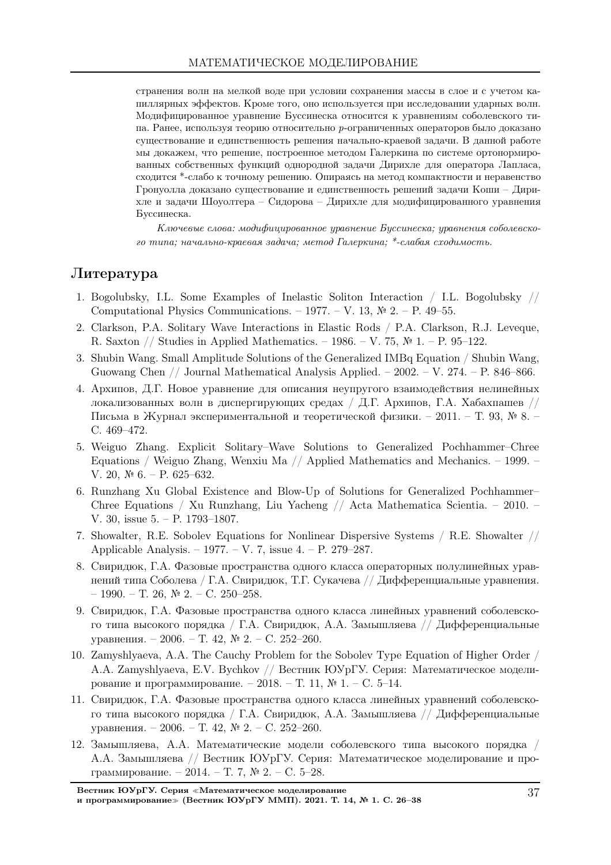странения волн на мелкой воде при условии сохранения массы в слое и с учетом капиллярных эффектов. Кроме того, оно используется при исследовании ударных волн. Модифицированное уравнение Буссинеска относится к уравнениям соболевского типа. Ранее, используя теорию относительно p-ограниченных операторов было доказано существование и единственность решения начально-краевой задачи. В данной работе мы докажем, что решение, построенное методом Галеркина по системе ортонормированных собственных функций однородной задачи Дирихле для оператора Лапласа, сходится \*-слабо к точному решению. Опираясь на метод компактности и неравенство Гронуолла доказано существование и единственность решений задачи Коши – Дирихле и задачи Шоуолтера – Сидорова – Дирихле для модифицированного уравнения Буссинеска.

Ключевые слова: модифицированное уравнение Буссинеска; уравнения соболевского типа; начально-краевая задача; метод Галеркина; \*-слабая сходимость.

# Литература

- 1. Bogolubsky, I.L. Some Examples of Inelastic Soliton Interaction / I.L. Bogolubsky // Computational Physics Communications. – 1977. – V. 13,  $\mathbb{N}^2$  2. – P. 49–55.
- 2. Clarkson, P.A. Solitary Wave Interactions in Elastic Rods / P.A. Clarkson, R.J. Leveque, R. Saxton // Studies in Applied Mathematics. – 1986. – V. 75, № 1. – P. 95–122.
- 3. Shubin Wang. Small Amplitude Solutions of the Generalized IMBq Equation / Shubin Wang, Guowang Chen // Journal Mathematical Analysis Applied. – 2002. – V. 274. – P. 846–866.
- 4. Архипов, Д.Г. Новое уравнение для описания неупругого взаимодействия нелинейных локализованных волн в диспергирующих средах / Д.Г. Архипов, Г.А. Хабахпашев // Письма в Журнал экспериментальной и теоретической физики. – 2011. – Т. 93, № 8. – С. 469–472.
- 5. Weiguo Zhang. Explicit Solitary–Wave Solutions to Generalized Pochhammer–Chree Equations / Weiguo Zhang, Wenxiu Ma // Applied Mathematics and Mechanics. – 1999. – V. 20, № 6. – P. 625–632.
- 6. Runzhang Xu Global Existence and Blow-Up of Solutions for Generalized Pochhammer– Chree Equations / Xu Runzhang, Liu Yacheng // Acta Mathematica Scientia. – 2010. – V. 30, issue 5. – P. 1793–1807.
- 7. Showalter, R.E. Sobolev Equations for Nonlinear Dispersive Systems / R.E. Showalter // Applicable Analysis. – 1977. – V. 7, issue 4. – P. 279–287.
- 8. Свиридюк, Г.А. Фазовые пространства одного класса операторных полулинейных уравнений типа Соболева / Г.А. Свиридюк, Т.Г. Сукачева // Дифференциальные уравнения. – 1990. – Т. 26, № 2. – С. 250–258.
- 9. Свиридюк, Г.А. Фазовые пространства одного класса линейных уравнений соболевского типа высокого порядка / Г.А. Свиридюк, А.А. Замышляева // Дифференциальные уравнения. – 2006. – Т. 42, № 2. – С. 252–260.
- 10. Zamyshlyaeva, A.A. The Cauchy Problem for the Sobolev Type Equation of Higher Order / A.A. Zamyshlyaeva, E.V. Bychkov // Вестник ЮУрГУ. Серия: Математическое моделирование и программирование. – 2018. – Т. 11, № 1. – С. 5–14.
- 11. Свиридюк, Г.А. Фазовые пространства одного класса линейных уравнений соболевского типа высокого порядка / Г.А. Свиридюк, А.А. Замышляева // Дифференциальные уравнения. – 2006. – Т. 42, № 2. – С. 252–260.
- 12. Замышляева, А.А. Математические модели соболевского типа высокого порядка / А.А. Замышляева // Вестник ЮУрГУ. Серия: Математическое моделирование и программирование. – 2014. – Т. 7, № 2. – С. 5–28.